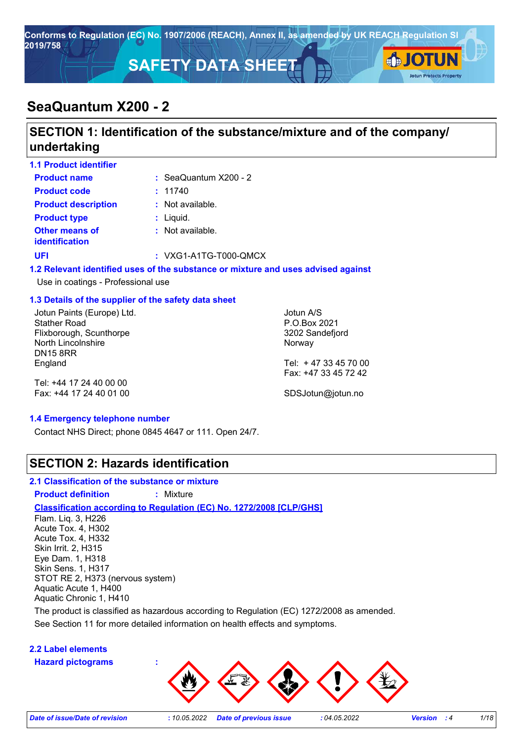

# **SeaQuantum X200 - 2**

## **SECTION 1: Identification of the substance/mixture and of the company/ undertaking**

| <b>1.1 Product identifier</b>                                                                                         |                         |                                                                                   |  |
|-----------------------------------------------------------------------------------------------------------------------|-------------------------|-----------------------------------------------------------------------------------|--|
| <b>Product name</b>                                                                                                   | : $SeaQuantum X200 - 2$ |                                                                                   |  |
| <b>Product code</b>                                                                                                   | : 11740                 |                                                                                   |  |
| <b>Product description</b>                                                                                            | $:$ Not available.      |                                                                                   |  |
| <b>Product type</b>                                                                                                   | : Liquid.               |                                                                                   |  |
| Other means of<br><b>identification</b>                                                                               | $:$ Not available.      |                                                                                   |  |
| <b>UFI</b>                                                                                                            | $: VXG1-A1TG-T000-QMCX$ |                                                                                   |  |
| Use in coatings - Professional use                                                                                    |                         | 1.2 Relevant identified uses of the substance or mixture and uses advised against |  |
| 1.3 Details of the supplier of the safety data sheet                                                                  |                         |                                                                                   |  |
| Jotun Paints (Europe) Ltd.<br><b>Stather Road</b><br>Flixborough, Scunthorpe<br>North Lincolnshire<br><b>DN15 8RR</b> |                         | Jotun A/S<br>P.O.Box 2021<br>3202 Sandefjord<br>Norway                            |  |
| England                                                                                                               |                         | Tel: +47 33 45 70 00                                                              |  |

Tel: +44 17 24 40 00 00 Fax: +44 17 24 40 01 00

SDSJotun@jotun.no

Fax: +47 33 45 72 42

#### **1.4 Emergency telephone number**

Contact NHS Direct; phone 0845 4647 or 111. Open 24/7.

### **SECTION 2: Hazards identification**

#### **2.1 Classification of the substance or mixture**

**Product definition :** Mixture

#### **Classification according to Regulation (EC) No. 1272/2008 [CLP/GHS]**

Flam. Liq. 3, H226 Acute Tox. 4, H302 Acute Tox. 4, H332 Skin Irrit. 2, H315 Eye Dam. 1, H318 Skin Sens. 1, H317 STOT RE 2, H373 (nervous system) Aquatic Acute 1, H400 Aquatic Chronic 1, H410

The product is classified as hazardous according to Regulation (EC) 1272/2008 as amended.

See Section 11 for more detailed information on health effects and symptoms.

#### **2.2 Label elements**

**Hazard pictograms :**

*Date of issue/Date of revision* **:** *10.05.2022 Date of previous issue : 04.05.2022 Version : 4 1/18*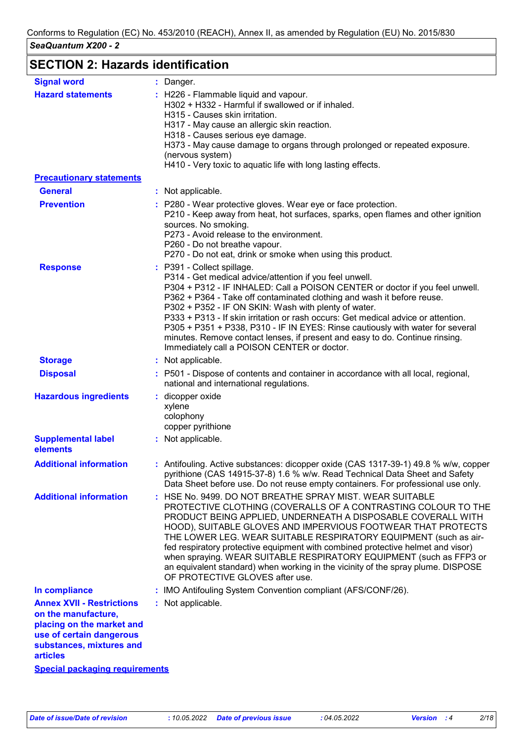# **SECTION 2: Hazards identification**

| <b>Signal word</b>                                                                                                                                              | : Danger.                                                                                                                                                                                                                                                                                                                                                                                                                                                                                                                                                                                                      |
|-----------------------------------------------------------------------------------------------------------------------------------------------------------------|----------------------------------------------------------------------------------------------------------------------------------------------------------------------------------------------------------------------------------------------------------------------------------------------------------------------------------------------------------------------------------------------------------------------------------------------------------------------------------------------------------------------------------------------------------------------------------------------------------------|
| <b>Hazard statements</b>                                                                                                                                        | : H226 - Flammable liquid and vapour.<br>H302 + H332 - Harmful if swallowed or if inhaled.<br>H315 - Causes skin irritation.<br>H317 - May cause an allergic skin reaction.<br>H318 - Causes serious eye damage.<br>H373 - May cause damage to organs through prolonged or repeated exposure.<br>(nervous system)<br>H410 - Very toxic to aquatic life with long lasting effects.                                                                                                                                                                                                                              |
| <b>Precautionary statements</b>                                                                                                                                 |                                                                                                                                                                                                                                                                                                                                                                                                                                                                                                                                                                                                                |
| <b>General</b>                                                                                                                                                  | : Not applicable.                                                                                                                                                                                                                                                                                                                                                                                                                                                                                                                                                                                              |
| <b>Prevention</b>                                                                                                                                               | : P280 - Wear protective gloves. Wear eye or face protection.<br>P210 - Keep away from heat, hot surfaces, sparks, open flames and other ignition<br>sources. No smoking.<br>P273 - Avoid release to the environment.<br>P260 - Do not breathe vapour.<br>P270 - Do not eat, drink or smoke when using this product.                                                                                                                                                                                                                                                                                           |
| <b>Response</b>                                                                                                                                                 | : P391 - Collect spillage.<br>P314 - Get medical advice/attention if you feel unwell.<br>P304 + P312 - IF INHALED: Call a POISON CENTER or doctor if you feel unwell.<br>P362 + P364 - Take off contaminated clothing and wash it before reuse.<br>P302 + P352 - IF ON SKIN: Wash with plenty of water.<br>P333 + P313 - If skin irritation or rash occurs: Get medical advice or attention.<br>P305 + P351 + P338, P310 - IF IN EYES: Rinse cautiously with water for several<br>minutes. Remove contact lenses, if present and easy to do. Continue rinsing.<br>Immediately call a POISON CENTER or doctor.  |
| <b>Storage</b>                                                                                                                                                  | : Not applicable.                                                                                                                                                                                                                                                                                                                                                                                                                                                                                                                                                                                              |
| <b>Disposal</b>                                                                                                                                                 | : P501 - Dispose of contents and container in accordance with all local, regional,<br>national and international regulations.                                                                                                                                                                                                                                                                                                                                                                                                                                                                                  |
| <b>Hazardous ingredients</b>                                                                                                                                    | : dicopper oxide<br>xylene<br>colophony<br>copper pyrithione                                                                                                                                                                                                                                                                                                                                                                                                                                                                                                                                                   |
| <b>Supplemental label</b><br>elements                                                                                                                           | : Not applicable.                                                                                                                                                                                                                                                                                                                                                                                                                                                                                                                                                                                              |
| <b>Additional information</b>                                                                                                                                   | : Antifouling. Active substances: dicopper oxide (CAS 1317-39-1) 49.8 % w/w, copper<br>pyrithione (CAS 14915-37-8) 1.6 % w/w. Read Technical Data Sheet and Safety<br>Data Sheet before use. Do not reuse empty containers. For professional use only.                                                                                                                                                                                                                                                                                                                                                         |
| <b>Additional information</b>                                                                                                                                   | : HSE No. 9499, DO NOT BREATHE SPRAY MIST, WEAR SUITABLE<br>PROTECTIVE CLOTHING (COVERALLS OF A CONTRASTING COLOUR TO THE<br>PRODUCT BEING APPLIED, UNDERNEATH A DISPOSABLE COVERALL WITH<br>HOOD), SUITABLE GLOVES AND IMPERVIOUS FOOTWEAR THAT PROTECTS<br>THE LOWER LEG. WEAR SUITABLE RESPIRATORY EQUIPMENT (such as air-<br>fed respiratory protective equipment with combined protective helmet and visor)<br>when spraying. WEAR SUITABLE RESPIRATORY EQUIPMENT (such as FFP3 or<br>an equivalent standard) when working in the vicinity of the spray plume. DISPOSE<br>OF PROTECTIVE GLOVES after use. |
| In compliance                                                                                                                                                   | IMO Antifouling System Convention compliant (AFS/CONF/26).                                                                                                                                                                                                                                                                                                                                                                                                                                                                                                                                                     |
| <b>Annex XVII - Restrictions</b><br>on the manufacture,<br>placing on the market and<br>use of certain dangerous<br>substances, mixtures and<br><b>articles</b> | : Not applicable.                                                                                                                                                                                                                                                                                                                                                                                                                                                                                                                                                                                              |
| <b>Special packaging requirements</b>                                                                                                                           |                                                                                                                                                                                                                                                                                                                                                                                                                                                                                                                                                                                                                |
|                                                                                                                                                                 |                                                                                                                                                                                                                                                                                                                                                                                                                                                                                                                                                                                                                |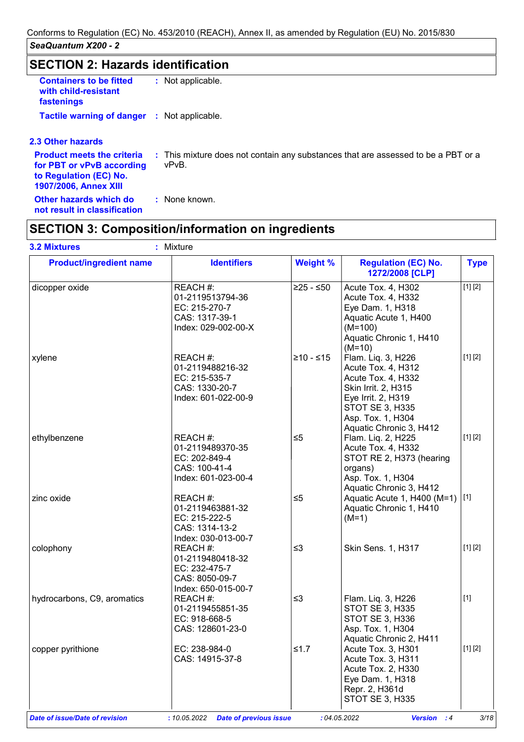# **SECTION 2: Hazards identification**

| <b>Containers to be fitted</b><br>with child-resistant<br>fastenings | : Not applicable. |  |
|----------------------------------------------------------------------|-------------------|--|
| <b>Tactile warning of danger : Not applicable.</b>                   |                   |  |

#### **2.3 Other hazards**

| for PBT or vPvB according<br>to Regulation (EC) No.<br>1907/2006, Annex XIII | <b>Product meets the criteria</b> : This mixture does not contain any substances that are assessed to be a PBT or a<br>vPvB. |
|------------------------------------------------------------------------------|------------------------------------------------------------------------------------------------------------------------------|
| Other hazards which do<br>not result in classification                       | : None known.                                                                                                                |

# **SECTION 3: Composition/information on ingredients**

| <b>Product/ingredient name</b> | <b>Identifiers</b>                                                                     | <b>Weight %</b> | <b>Regulation (EC) No.</b><br>1272/2008 [CLP]                                                                                                                                  | <b>Type</b> |
|--------------------------------|----------------------------------------------------------------------------------------|-----------------|--------------------------------------------------------------------------------------------------------------------------------------------------------------------------------|-------------|
| dicopper oxide                 | REACH #:<br>01-2119513794-36<br>EC: 215-270-7<br>CAS: 1317-39-1<br>Index: 029-002-00-X | $≥25 - ≤50$     | Acute Tox. 4, H302<br>Acute Tox. 4, H332<br>Eye Dam. 1, H318<br>Aquatic Acute 1, H400<br>$(M=100)$<br>Aquatic Chronic 1, H410<br>$(M=10)$                                      | [1] [2]     |
| xylene                         | REACH #:<br>01-2119488216-32<br>EC: 215-535-7<br>CAS: 1330-20-7<br>Index: 601-022-00-9 | $≥10 - ≤15$     | Flam. Liq. 3, H226<br>Acute Tox. 4, H312<br>Acute Tox. 4, H332<br>Skin Irrit. 2, H315<br>Eye Irrit. 2, H319<br>STOT SE 3, H335<br>Asp. Tox. 1, H304<br>Aquatic Chronic 3, H412 | [1] [2]     |
| ethylbenzene                   | REACH #:<br>01-2119489370-35<br>EC: 202-849-4<br>CAS: 100-41-4<br>Index: 601-023-00-4  | $\leq 5$        | Flam. Liq. 2, H225<br>Acute Tox. 4, H332<br>STOT RE 2, H373 (hearing<br>organs)<br>Asp. Tox. 1, H304<br>Aquatic Chronic 3, H412                                                | [1] [2]     |
| zinc oxide                     | REACH #:<br>01-2119463881-32<br>EC: 215-222-5<br>CAS: 1314-13-2<br>Index: 030-013-00-7 | $\leq 5$        | Aquatic Acute 1, H400 (M=1) [1]<br>Aquatic Chronic 1, H410<br>$(M=1)$                                                                                                          |             |
| colophony                      | REACH #:<br>01-2119480418-32<br>EC: 232-475-7<br>CAS: 8050-09-7<br>Index: 650-015-00-7 | $\leq$ 3        | Skin Sens. 1, H317                                                                                                                                                             | [1] [2]     |
| hydrocarbons, C9, aromatics    | REACH #:<br>01-2119455851-35<br>EC: 918-668-5<br>CAS: 128601-23-0                      | $\leq$ 3        | Flam. Liq. 3, H226<br><b>STOT SE 3, H335</b><br><b>STOT SE 3, H336</b><br>Asp. Tox. 1, H304<br>Aquatic Chronic 2, H411                                                         | $[1]$       |
| copper pyrithione              | EC: 238-984-0<br>CAS: 14915-37-8                                                       | $≤1.7$          | Acute Tox. 3, H301<br>Acute Tox. 3, H311<br>Acute Tox. 2, H330<br>Eye Dam. 1, H318<br>Repr. 2, H361d<br><b>STOT SE 3, H335</b>                                                 | [1] [2]     |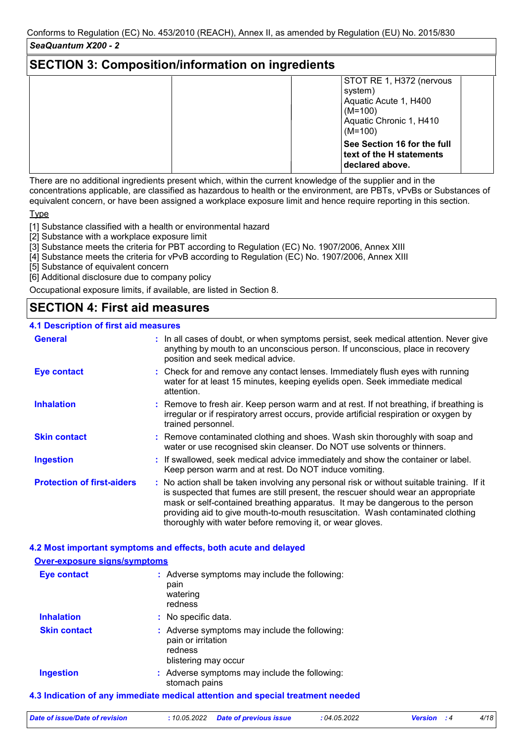### **SECTION 3: Composition/information on ingredients**

| STOT RE 1, H372 (nervous<br>system)<br>Aquatic Acute 1, H400<br>$(M=100)$<br>Aquatic Chronic 1, H410 |
|------------------------------------------------------------------------------------------------------|
| $(M=100)$<br>See Section 16 for the full<br>text of the H statements<br>declared above.              |

There are no additional ingredients present which, within the current knowledge of the supplier and in the concentrations applicable, are classified as hazardous to health or the environment, are PBTs, vPvBs or Substances of equivalent concern, or have been assigned a workplace exposure limit and hence require reporting in this section.

Type

[1] Substance classified with a health or environmental hazard

[2] Substance with a workplace exposure limit

[3] Substance meets the criteria for PBT according to Regulation (EC) No. 1907/2006, Annex XIII

[4] Substance meets the criteria for vPvB according to Regulation (EC) No. 1907/2006, Annex XIII

[5] Substance of equivalent concern

[6] Additional disclosure due to company policy

Occupational exposure limits, if available, are listed in Section 8.

# **SECTION 4: First aid measures**

### **4.1 Description of first aid measures**

| <b>General</b>                    | : In all cases of doubt, or when symptoms persist, seek medical attention. Never give<br>anything by mouth to an unconscious person. If unconscious, place in recovery<br>position and seek medical advice.                                                                                                                                                                                                     |
|-----------------------------------|-----------------------------------------------------------------------------------------------------------------------------------------------------------------------------------------------------------------------------------------------------------------------------------------------------------------------------------------------------------------------------------------------------------------|
| <b>Eye contact</b>                | : Check for and remove any contact lenses. Immediately flush eyes with running<br>water for at least 15 minutes, keeping eyelids open. Seek immediate medical<br>attention.                                                                                                                                                                                                                                     |
| <b>Inhalation</b>                 | : Remove to fresh air. Keep person warm and at rest. If not breathing, if breathing is<br>irregular or if respiratory arrest occurs, provide artificial respiration or oxygen by<br>trained personnel.                                                                                                                                                                                                          |
| <b>Skin contact</b>               | : Remove contaminated clothing and shoes. Wash skin thoroughly with soap and<br>water or use recognised skin cleanser. Do NOT use solvents or thinners.                                                                                                                                                                                                                                                         |
| <b>Ingestion</b>                  | : If swallowed, seek medical advice immediately and show the container or label.<br>Keep person warm and at rest. Do NOT induce vomiting.                                                                                                                                                                                                                                                                       |
| <b>Protection of first-aiders</b> | : No action shall be taken involving any personal risk or without suitable training. If it<br>is suspected that fumes are still present, the rescuer should wear an appropriate<br>mask or self-contained breathing apparatus. It may be dangerous to the person<br>providing aid to give mouth-to-mouth resuscitation. Wash contaminated clothing<br>thoroughly with water before removing it, or wear gloves. |

### **4.2 Most important symptoms and effects, both acute and delayed**

#### **4.3 Indication of any immediate medical attention and special treatment needed Over-exposure signs/symptoms Skin contact Ingestion Inhalation :** No specific data. Adverse symptoms may include the following: **:** stomach pains Adverse symptoms may include the following: **:** pain or irritation redness blistering may occur **Eye contact :** Adverse symptoms may include the following: pain watering redness

| Date of issue/Date of revision | : 10.05.2022 Date of previous issue | : 04.05.2022 | <b>Version</b> : 4 | 4/18 |
|--------------------------------|-------------------------------------|--------------|--------------------|------|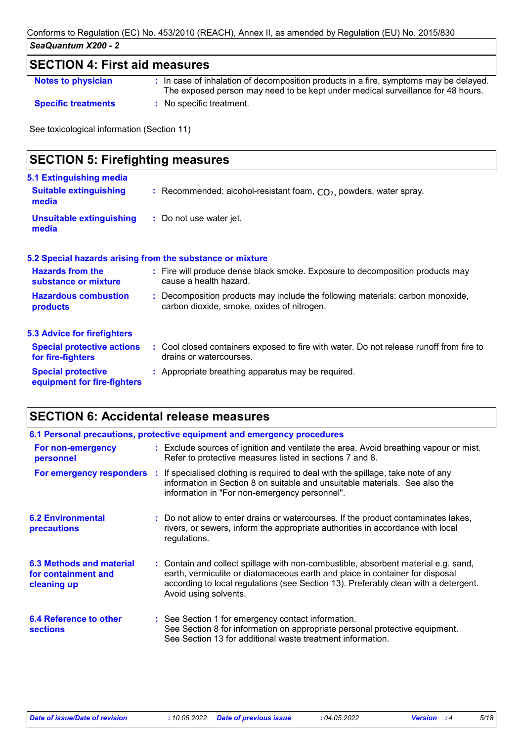### **SECTION 4: First aid measures**

| <b>Notes to physician</b> |  |  |
|---------------------------|--|--|
|                           |  |  |

**Notes to physician The Constant of the Constant** of decomposition products in a fire, symptoms may be delayed.

The exposed person may need to be kept under medical surveillance for 48 hours. **Specific treatments :** No specific treatment.

See toxicological information (Section 11)

| <b>SECTION 5: Firefighting measures</b>                                  |                                                                                                                              |  |  |  |
|--------------------------------------------------------------------------|------------------------------------------------------------------------------------------------------------------------------|--|--|--|
| <b>5.1 Extinguishing media</b><br><b>Suitable extinguishing</b><br>media | : Recommended: alcohol-resistant foam, $CO2$ , powders, water spray.                                                         |  |  |  |
| <b>Unsuitable extinguishing</b><br>media                                 | : Do not use water jet.                                                                                                      |  |  |  |
|                                                                          | 5.2 Special hazards arising from the substance or mixture                                                                    |  |  |  |
| <b>Hazards from the</b><br>substance or mixture                          | : Fire will produce dense black smoke. Exposure to decomposition products may<br>cause a health hazard.                      |  |  |  |
| <b>Hazardous combustion</b><br>products                                  | : Decomposition products may include the following materials: carbon monoxide,<br>carbon dioxide, smoke, oxides of nitrogen. |  |  |  |
| <b>5.3 Advice for firefighters</b>                                       |                                                                                                                              |  |  |  |
| <b>Special protective actions</b><br>for fire-fighters                   | : Cool closed containers exposed to fire with water. Do not release runoff from fire to<br>drains or watercourses.           |  |  |  |
| <b>Special protective</b><br>equipment for fire-fighters                 | : Appropriate breathing apparatus may be required.                                                                           |  |  |  |

# **SECTION 6: Accidental release measures**

| 6.1 Personal precautions, protective equipment and emergency procedures |  |                                                                                                                                                                                                                                                                                    |  |  |
|-------------------------------------------------------------------------|--|------------------------------------------------------------------------------------------------------------------------------------------------------------------------------------------------------------------------------------------------------------------------------------|--|--|
| For non-emergency<br>personnel                                          |  | : Exclude sources of ignition and ventilate the area. Avoid breathing vapour or mist.<br>Refer to protective measures listed in sections 7 and 8.                                                                                                                                  |  |  |
| For emergency responders :                                              |  | If specialised clothing is required to deal with the spillage, take note of any<br>information in Section 8 on suitable and unsuitable materials. See also the<br>information in "For non-emergency personnel".                                                                    |  |  |
| <b>6.2 Environmental</b><br>precautions                                 |  | : Do not allow to enter drains or watercourses. If the product contaminates lakes,<br>rivers, or sewers, inform the appropriate authorities in accordance with local<br>regulations.                                                                                               |  |  |
| 6.3 Methods and material<br>for containment and<br>cleaning up          |  | : Contain and collect spillage with non-combustible, absorbent material e.g. sand,<br>earth, vermiculite or diatomaceous earth and place in container for disposal<br>according to local regulations (see Section 13). Preferably clean with a detergent.<br>Avoid using solvents. |  |  |
| 6.4 Reference to other<br><b>sections</b>                               |  | : See Section 1 for emergency contact information.<br>See Section 8 for information on appropriate personal protective equipment.<br>See Section 13 for additional waste treatment information.                                                                                    |  |  |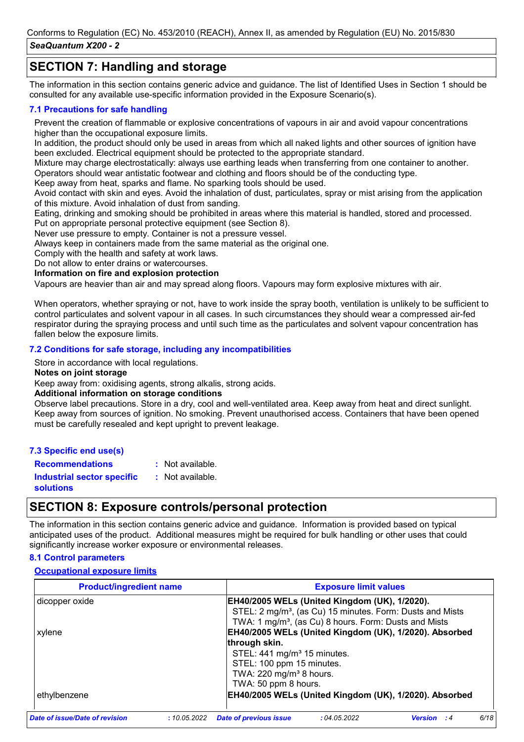## **SECTION 7: Handling and storage**

The information in this section contains generic advice and guidance. The list of Identified Uses in Section 1 should be consulted for any available use-specific information provided in the Exposure Scenario(s).

#### **7.1 Precautions for safe handling**

Prevent the creation of flammable or explosive concentrations of vapours in air and avoid vapour concentrations higher than the occupational exposure limits.

In addition, the product should only be used in areas from which all naked lights and other sources of ignition have been excluded. Electrical equipment should be protected to the appropriate standard.

Mixture may charge electrostatically: always use earthing leads when transferring from one container to another. Operators should wear antistatic footwear and clothing and floors should be of the conducting type.

Keep away from heat, sparks and flame. No sparking tools should be used.

Avoid contact with skin and eyes. Avoid the inhalation of dust, particulates, spray or mist arising from the application of this mixture. Avoid inhalation of dust from sanding.

Eating, drinking and smoking should be prohibited in areas where this material is handled, stored and processed.

Put on appropriate personal protective equipment (see Section 8).

Never use pressure to empty. Container is not a pressure vessel. Always keep in containers made from the same material as the original one.

Comply with the health and safety at work laws. Do not allow to enter drains or watercourses.

### **Information on fire and explosion protection**

Vapours are heavier than air and may spread along floors. Vapours may form explosive mixtures with air.

When operators, whether spraying or not, have to work inside the spray booth, ventilation is unlikely to be sufficient to control particulates and solvent vapour in all cases. In such circumstances they should wear a compressed air-fed respirator during the spraying process and until such time as the particulates and solvent vapour concentration has fallen below the exposure limits.

#### **7.2 Conditions for safe storage, including any incompatibilities**

Store in accordance with local regulations.

#### **Notes on joint storage**

Keep away from: oxidising agents, strong alkalis, strong acids.

#### **Additional information on storage conditions**

Observe label precautions. Store in a dry, cool and well-ventilated area. Keep away from heat and direct sunlight. Keep away from sources of ignition. No smoking. Prevent unauthorised access. Containers that have been opened must be carefully resealed and kept upright to prevent leakage.

#### **7.3 Specific end use(s)**

**Recommendations :** : Not available.

**Industrial sector specific : solutions** : Not available.

### **SECTION 8: Exposure controls/personal protection**

The information in this section contains generic advice and guidance. Information is provided based on typical anticipated uses of the product. Additional measures might be required for bulk handling or other uses that could significantly increase worker exposure or environmental releases.

#### **8.1 Control parameters**

#### **Occupational exposure limits**

| <b>Product/ingredient name</b> | <b>Exposure limit values</b>                                                                 |
|--------------------------------|----------------------------------------------------------------------------------------------|
| dicopper oxide                 | EH40/2005 WELs (United Kingdom (UK), 1/2020).                                                |
|                                | STEL: 2 mg/m <sup>3</sup> , (as Cu) 15 minutes. Form: Dusts and Mists                        |
|                                | TWA: 1 mg/m <sup>3</sup> , (as Cu) 8 hours. Form: Dusts and Mists                            |
| xylene                         | EH40/2005 WELs (United Kingdom (UK), 1/2020). Absorbed                                       |
|                                | through skin.                                                                                |
|                                | STEL: 441 mg/m <sup>3</sup> 15 minutes.                                                      |
|                                | STEL: 100 ppm 15 minutes.                                                                    |
|                                | TWA: 220 mg/m <sup>3</sup> 8 hours.                                                          |
|                                | TWA: 50 ppm 8 hours.                                                                         |
| ethylbenzene                   | EH40/2005 WELs (United Kingdom (UK), 1/2020). Absorbed                                       |
| Date of issue/Date of revision | 6/18<br><b>Date of previous issue</b><br>:04.05.2022<br>:10.05.2022<br>Version<br>$\cdot$ :4 |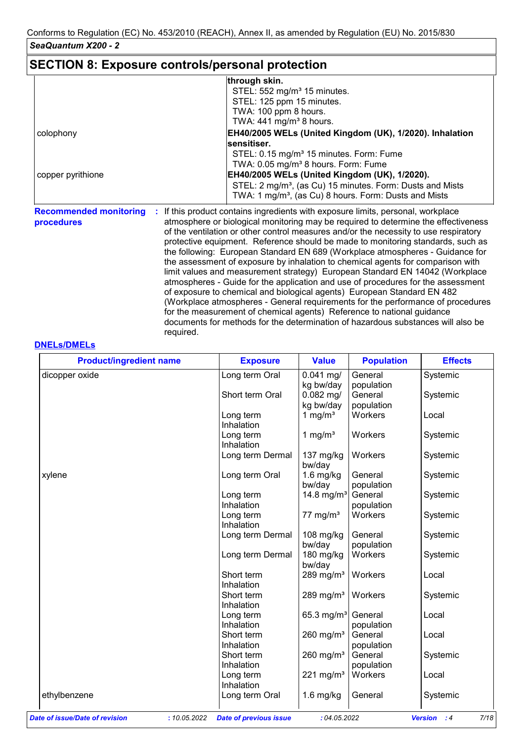# **SECTION 8: Exposure controls/personal protection**

required.

|                                             | through skin.                                                                                                                                                                                                                                                                                                                                                                                                                                                                                                                                                                                                                                                                                                                                                                                                                                                                                                                   |
|---------------------------------------------|---------------------------------------------------------------------------------------------------------------------------------------------------------------------------------------------------------------------------------------------------------------------------------------------------------------------------------------------------------------------------------------------------------------------------------------------------------------------------------------------------------------------------------------------------------------------------------------------------------------------------------------------------------------------------------------------------------------------------------------------------------------------------------------------------------------------------------------------------------------------------------------------------------------------------------|
|                                             | STEL: 552 mg/m <sup>3</sup> 15 minutes.                                                                                                                                                                                                                                                                                                                                                                                                                                                                                                                                                                                                                                                                                                                                                                                                                                                                                         |
|                                             | STEL: 125 ppm 15 minutes.                                                                                                                                                                                                                                                                                                                                                                                                                                                                                                                                                                                                                                                                                                                                                                                                                                                                                                       |
|                                             | TWA: 100 ppm 8 hours.                                                                                                                                                                                                                                                                                                                                                                                                                                                                                                                                                                                                                                                                                                                                                                                                                                                                                                           |
|                                             | TWA: $441$ mg/m <sup>3</sup> 8 hours.                                                                                                                                                                                                                                                                                                                                                                                                                                                                                                                                                                                                                                                                                                                                                                                                                                                                                           |
| colophony                                   | EH40/2005 WELs (United Kingdom (UK), 1/2020). Inhalation                                                                                                                                                                                                                                                                                                                                                                                                                                                                                                                                                                                                                                                                                                                                                                                                                                                                        |
|                                             | sensitiser.                                                                                                                                                                                                                                                                                                                                                                                                                                                                                                                                                                                                                                                                                                                                                                                                                                                                                                                     |
|                                             | STEL: 0.15 mg/m <sup>3</sup> 15 minutes. Form: Fume                                                                                                                                                                                                                                                                                                                                                                                                                                                                                                                                                                                                                                                                                                                                                                                                                                                                             |
|                                             | TWA: 0.05 mg/m <sup>3</sup> 8 hours. Form: Fume                                                                                                                                                                                                                                                                                                                                                                                                                                                                                                                                                                                                                                                                                                                                                                                                                                                                                 |
| copper pyrithione                           | EH40/2005 WELs (United Kingdom (UK), 1/2020).                                                                                                                                                                                                                                                                                                                                                                                                                                                                                                                                                                                                                                                                                                                                                                                                                                                                                   |
|                                             | STEL: 2 mg/m <sup>3</sup> , (as Cu) 15 minutes. Form: Dusts and Mists                                                                                                                                                                                                                                                                                                                                                                                                                                                                                                                                                                                                                                                                                                                                                                                                                                                           |
|                                             | TWA: 1 mg/m <sup>3</sup> , (as Cu) 8 hours. Form: Dusts and Mists                                                                                                                                                                                                                                                                                                                                                                                                                                                                                                                                                                                                                                                                                                                                                                                                                                                               |
| <b>Recommended monitoring</b><br>procedures | If this product contains ingredients with exposure limits, personal, workplace<br>atmosphere or biological monitoring may be required to determine the effectiveness<br>of the ventilation or other control measures and/or the necessity to use respiratory<br>protective equipment. Reference should be made to monitoring standards, such as<br>the following: European Standard EN 689 (Workplace atmospheres - Guidance for<br>the assessment of exposure by inhalation to chemical agents for comparison with<br>limit values and measurement strategy) European Standard EN 14042 (Workplace<br>atmospheres - Guide for the application and use of procedures for the assessment<br>of exposure to chemical and biological agents) European Standard EN 482<br>(Workplace atmospheres - General requirements for the performance of procedures<br>for the measurement of chemical agents) Reference to national guidance |

documents for methods for the determination of hazardous substances will also be

#### **DNELs/DMELs**

| <b>Product/ingredient name</b>        | <b>Exposure</b>                               | <b>Value</b>           | <b>Population</b> | <b>Effects</b>                       |
|---------------------------------------|-----------------------------------------------|------------------------|-------------------|--------------------------------------|
| dicopper oxide                        | Long term Oral                                | $0.041$ mg/            | General           | Systemic                             |
|                                       |                                               | kg bw/day              | population        |                                      |
|                                       | Short term Oral                               | $0.082$ mg/            | General           | Systemic                             |
|                                       |                                               | kg bw/day              | population        |                                      |
|                                       | Long term                                     | 1 mg/ $m3$             | Workers           | Local                                |
|                                       | Inhalation                                    |                        |                   |                                      |
|                                       | Long term                                     | 1 mg/ $m3$             | Workers           | Systemic                             |
|                                       | Inhalation                                    |                        |                   |                                      |
|                                       | Long term Dermal                              | $137 \text{ mg/kg}$    | Workers           | Systemic                             |
|                                       |                                               | bw/day                 |                   |                                      |
| xylene                                | Long term Oral                                | $1.6$ mg/kg            | General           | Systemic                             |
|                                       |                                               | bw/day                 | population        |                                      |
|                                       | Long term                                     | 14.8 mg/m <sup>3</sup> | General           | Systemic                             |
|                                       | Inhalation                                    |                        | population        |                                      |
|                                       | Long term                                     | 77 mg/m $3$            | Workers           | Systemic                             |
|                                       | Inhalation                                    |                        |                   |                                      |
|                                       | Long term Dermal                              | 108 mg/kg              | General           | Systemic                             |
|                                       |                                               | bw/day                 | population        |                                      |
|                                       | Long term Dermal                              | 180 mg/kg              | Workers           | Systemic                             |
|                                       |                                               | bw/day                 |                   |                                      |
|                                       | Short term                                    | 289 mg/m $3$           | Workers           | Local                                |
|                                       | Inhalation                                    |                        |                   |                                      |
|                                       | Short term                                    | 289 mg/m $3$           | Workers           | Systemic                             |
|                                       | Inhalation                                    |                        |                   |                                      |
|                                       | Long term                                     | 65.3 mg/m <sup>3</sup> | General           | Local                                |
|                                       | Inhalation                                    |                        | population        |                                      |
|                                       | Short term                                    | 260 mg/ $m3$           | General           | Local                                |
|                                       | Inhalation                                    |                        | population        |                                      |
|                                       | Short term                                    | 260 mg/ $m3$           | General           | Systemic                             |
|                                       | Inhalation                                    |                        | population        |                                      |
|                                       | Long term                                     | 221 mg/m $3$           | Workers           | Local                                |
|                                       | Inhalation                                    |                        |                   |                                      |
| ethylbenzene                          | Long term Oral                                | $1.6$ mg/kg            | General           | Systemic                             |
|                                       |                                               |                        |                   |                                      |
| <b>Date of issue/Date of revision</b> | : 10.05.2022<br><b>Date of previous issue</b> | :04.05.2022            |                   | 7/18<br><b>Version</b><br>$\cdot$ :4 |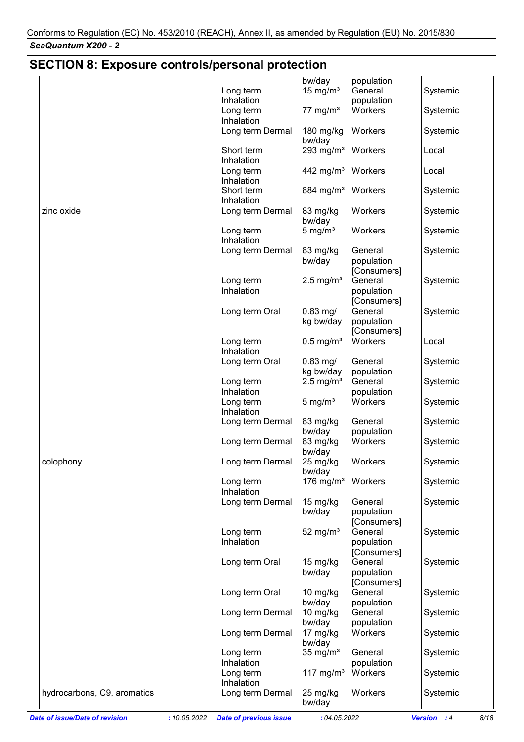#### *SeaQuantum X200 - 2* **SECTION 8: Exposure controls/personal protection** bw/day population Long term Inhalation 15 mg/m $3$  General population Systemic Long term Inhalation  $77 \text{ mg/m}$ <sup>3</sup> Workers Systemic Long term Dermal | 180 mg/kg | Workers bw/day Systemic Short term Inhalation 293 mg/m<sup>3</sup> | Workers | Local Long term Inhalation 442 mg/m<sup>3</sup> Workers | Local Short term Inhalation 884 mg/m<sup>3</sup> Workers Systemic zinc oxide **Long term Dermal 1**83 mg/kg 1 Workers bw/day<br>5 mg/m<sup>3</sup> Systemic Long term Inhalation Workers | Systemic Long term Dermal  $\vert$  83 mg/kg bw/day **General** population [Consumers] Systemic Long term Inhalation 2.5 mg/m $3$  General population [Consumers] Systemic Long term Oral  $\vert$  0.83 mg/ kg bw/day General population [Consumers] Systemic Long term Inhalation 0.5 mg/m<sup>3</sup> Workers Local Long term Oral  $\vert$  0.83 mg/ kg bw/day **General** population Systemic Long term Inhalation  $2.5 \text{ mg/m}$ <sup>3</sup> General population **Systemic** Long term Inhalation 5 mg/m<sup>3</sup> | Workers | Systemic Long term Dermal  $\vert$  83 mg/kg bw/day population<br>83 mg/kg Workers **General** population Systemic Long term Dermal  $\vert$  83 mg/kg bw/day Systemic colophony colophony colophony colophony colophony bw/day Systemic Long term Inhalation 176 mg/m<sup>3</sup> | Workers | Systemic Long term Dermal | 15 mg/kg bw/day **General** population **[Consumers]** Systemic Long term Inhalation 52 mg/m $3$  General population [Consumers] Systemic Long term Oral | 15 mg/kg bw/day General population [Consumers] Systemic Long term Oral | 10 mg/kg bw/day **General** population Systemic

hydrocarbons, C9, aromatics Long term Dermal 25 mg/kg | Workers

Long term Inhalation

Long term Inhalation

Long term Dermal | 10 mg/kg

bw/day

bw/day

Long term Dermal | 17 mg/kg | Workers bw/day

 $35 \text{ mg/m}^3$  General

**General** population

population

117 mg/m<sup>3</sup> Workers Systemic

Systemic

Systemic

Systemic

Systemic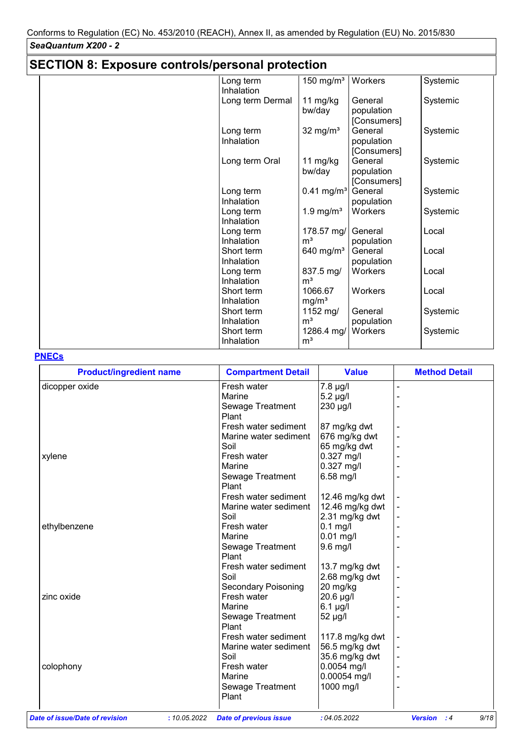| <b>SECTION 8: Exposure controls/personal protection</b> |                          |                              |                                      |          |  |
|---------------------------------------------------------|--------------------------|------------------------------|--------------------------------------|----------|--|
|                                                         | Long term<br>Inhalation  | 150 mg/m <sup>3</sup>        | Workers                              | Systemic |  |
|                                                         | Long term Dermal         | 11 mg/kg<br>bw/day           | General<br>population<br>[Consumers] | Systemic |  |
|                                                         | Long term<br>Inhalation  | 32 mg/ $m3$                  | General<br>population<br>[Consumers] | Systemic |  |
|                                                         | Long term Oral           | 11 mg/kg<br>bw/day           | General<br>population<br>[Consumers] | Systemic |  |
|                                                         | Long term<br>Inhalation  | $0.41$ mg/m <sup>3</sup>     | General<br>population                | Systemic |  |
|                                                         | Long term<br>Inhalation  | 1.9 mg/ $m3$                 | Workers                              | Systemic |  |
|                                                         | Long term<br>Inhalation  | 178.57 mg/<br>m <sup>3</sup> | General<br>population                | Local    |  |
|                                                         | Short term<br>Inhalation | 640 mg/ $m3$                 | General<br>population                | Local    |  |
|                                                         | Long term<br>Inhalation  | 837.5 mg/<br>m <sup>3</sup>  | Workers                              | Local    |  |
|                                                         | Short term<br>Inhalation | 1066.67<br>mg/m <sup>3</sup> | Workers                              | Local    |  |
|                                                         | Short term<br>Inhalation | 1152 mg/<br>m <sup>3</sup>   | General<br>population                | Systemic |  |
|                                                         | Short term<br>Inhalation | 1286.4 mg/<br>m <sup>3</sup> | Workers                              | Systemic |  |

### **PNECs**

| <b>Product/ingredient name</b> | <b>Compartment Detail</b>                     | <b>Value</b>    | <b>Method Detail</b>         |
|--------------------------------|-----------------------------------------------|-----------------|------------------------------|
| dicopper oxide                 | Fresh water                                   | 7.8 µg/l        |                              |
|                                | Marine                                        | $5.2 \mu g/l$   |                              |
|                                | Sewage Treatment                              | 230 µg/l        |                              |
|                                | Plant                                         |                 |                              |
|                                | Fresh water sediment                          | 87 mg/kg dwt    |                              |
|                                | Marine water sediment                         | 676 mg/kg dwt   |                              |
|                                | Soil                                          | 65 mg/kg dwt    |                              |
| xylene                         | Fresh water                                   | 0.327 mg/l      |                              |
|                                | Marine                                        | 0.327 mg/l      |                              |
|                                | Sewage Treatment                              | 6.58 mg/l       |                              |
|                                | Plant                                         |                 |                              |
|                                | Fresh water sediment                          | 12.46 mg/kg dwt |                              |
|                                | Marine water sediment                         | 12.46 mg/kg dwt |                              |
|                                | Soil                                          | 2.31 mg/kg dwt  |                              |
| ethylbenzene                   | Fresh water                                   | $0.1$ mg/l      |                              |
|                                | Marine                                        | 0.01 mg/l       |                              |
|                                | Sewage Treatment                              | 9.6 mg/l        |                              |
|                                | Plant                                         |                 |                              |
|                                | Fresh water sediment                          | 13.7 mg/kg dwt  |                              |
|                                | Soil                                          | 2.68 mg/kg dwt  |                              |
|                                | <b>Secondary Poisoning</b>                    | 20 mg/kg        |                              |
| zinc oxide                     | Fresh water                                   | 20.6 µg/l       |                              |
|                                | Marine                                        | 6.1 µg/l        |                              |
|                                | Sewage Treatment                              | 52 µg/l         |                              |
|                                | Plant                                         |                 |                              |
|                                | Fresh water sediment                          | 117.8 mg/kg dwt |                              |
|                                | Marine water sediment                         | 56.5 mg/kg dwt  |                              |
|                                | Soil                                          | 35.6 mg/kg dwt  |                              |
| colophony                      | Fresh water                                   | $0.0054$ mg/l   |                              |
|                                | Marine                                        | 0.00054 mg/l    |                              |
|                                | Sewage Treatment                              | 1000 mg/l       |                              |
|                                | Plant                                         |                 |                              |
|                                |                                               |                 |                              |
| Date of issue/Date of revision | : 10.05.2022<br><b>Date of previous issue</b> | :04.05.2022     | 9/18<br><b>Version</b><br>:4 |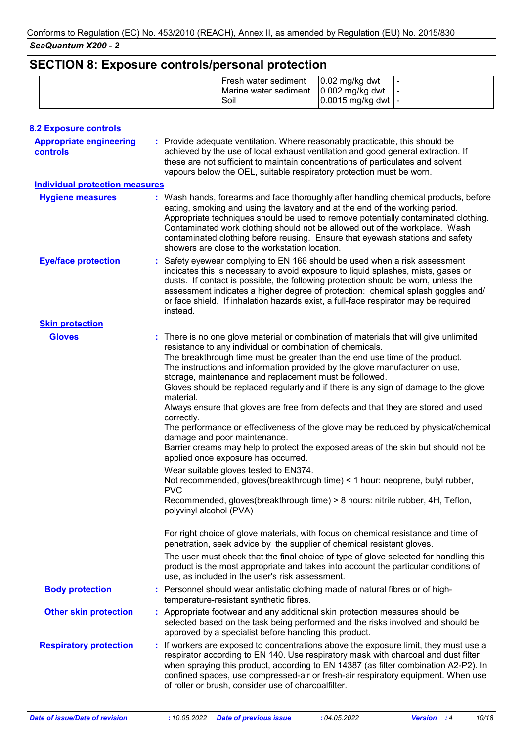# **SECTION 8: Exposure controls/personal protection**

|  | Fresh water sediment   0.02 mg/kg dwt<br>Marine water sediment   0.002 mg/kg dwt   -<br>Soil | $0.0015$ mg/kg dwt  - |  |
|--|----------------------------------------------------------------------------------------------|-----------------------|--|
|  |                                                                                              |                       |  |

| <b>8.2 Exposure controls</b>               |                                                                                                                                                                                                                                                                                                                                                                                                                                                                                                                                                                                                                                                                                                                                                                                                                                                                                                                                                                                                                                                                                                                                                                                                                                                                                                                                                                                                                                        |
|--------------------------------------------|----------------------------------------------------------------------------------------------------------------------------------------------------------------------------------------------------------------------------------------------------------------------------------------------------------------------------------------------------------------------------------------------------------------------------------------------------------------------------------------------------------------------------------------------------------------------------------------------------------------------------------------------------------------------------------------------------------------------------------------------------------------------------------------------------------------------------------------------------------------------------------------------------------------------------------------------------------------------------------------------------------------------------------------------------------------------------------------------------------------------------------------------------------------------------------------------------------------------------------------------------------------------------------------------------------------------------------------------------------------------------------------------------------------------------------------|
| <b>Appropriate engineering</b><br>controls | : Provide adequate ventilation. Where reasonably practicable, this should be<br>achieved by the use of local exhaust ventilation and good general extraction. If<br>these are not sufficient to maintain concentrations of particulates and solvent<br>vapours below the OEL, suitable respiratory protection must be worn.                                                                                                                                                                                                                                                                                                                                                                                                                                                                                                                                                                                                                                                                                                                                                                                                                                                                                                                                                                                                                                                                                                            |
| <b>Individual protection measures</b>      |                                                                                                                                                                                                                                                                                                                                                                                                                                                                                                                                                                                                                                                                                                                                                                                                                                                                                                                                                                                                                                                                                                                                                                                                                                                                                                                                                                                                                                        |
| <b>Hygiene measures</b>                    | : Wash hands, forearms and face thoroughly after handling chemical products, before<br>eating, smoking and using the lavatory and at the end of the working period.<br>Appropriate techniques should be used to remove potentially contaminated clothing.<br>Contaminated work clothing should not be allowed out of the workplace. Wash<br>contaminated clothing before reusing. Ensure that eyewash stations and safety<br>showers are close to the workstation location.                                                                                                                                                                                                                                                                                                                                                                                                                                                                                                                                                                                                                                                                                                                                                                                                                                                                                                                                                            |
| <b>Eye/face protection</b>                 | : Safety eyewear complying to EN 166 should be used when a risk assessment<br>indicates this is necessary to avoid exposure to liquid splashes, mists, gases or<br>dusts. If contact is possible, the following protection should be worn, unless the<br>assessment indicates a higher degree of protection: chemical splash goggles and/<br>or face shield. If inhalation hazards exist, a full-face respirator may be required<br>instead.                                                                                                                                                                                                                                                                                                                                                                                                                                                                                                                                                                                                                                                                                                                                                                                                                                                                                                                                                                                           |
| <b>Skin protection</b>                     |                                                                                                                                                                                                                                                                                                                                                                                                                                                                                                                                                                                                                                                                                                                                                                                                                                                                                                                                                                                                                                                                                                                                                                                                                                                                                                                                                                                                                                        |
| <b>Gloves</b>                              | : There is no one glove material or combination of materials that will give unlimited<br>resistance to any individual or combination of chemicals.<br>The breakthrough time must be greater than the end use time of the product.<br>The instructions and information provided by the glove manufacturer on use,<br>storage, maintenance and replacement must be followed.<br>Gloves should be replaced regularly and if there is any sign of damage to the glove<br>material.<br>Always ensure that gloves are free from defects and that they are stored and used<br>correctly.<br>The performance or effectiveness of the glove may be reduced by physical/chemical<br>damage and poor maintenance.<br>Barrier creams may help to protect the exposed areas of the skin but should not be<br>applied once exposure has occurred.<br>Wear suitable gloves tested to EN374.<br>Not recommended, gloves(breakthrough time) < 1 hour: neoprene, butyl rubber,<br><b>PVC</b><br>Recommended, gloves(breakthrough time) > 8 hours: nitrile rubber, 4H, Teflon,<br>polyvinyl alcohol (PVA)<br>For right choice of glove materials, with focus on chemical resistance and time of<br>penetration, seek advice by the supplier of chemical resistant gloves.<br>The user must check that the final choice of type of glove selected for handling this<br>product is the most appropriate and takes into account the particular conditions of |
| <b>Body protection</b>                     | use, as included in the user's risk assessment.<br>: Personnel should wear antistatic clothing made of natural fibres or of high-                                                                                                                                                                                                                                                                                                                                                                                                                                                                                                                                                                                                                                                                                                                                                                                                                                                                                                                                                                                                                                                                                                                                                                                                                                                                                                      |
|                                            | temperature-resistant synthetic fibres.                                                                                                                                                                                                                                                                                                                                                                                                                                                                                                                                                                                                                                                                                                                                                                                                                                                                                                                                                                                                                                                                                                                                                                                                                                                                                                                                                                                                |
| <b>Other skin protection</b>               | Appropriate footwear and any additional skin protection measures should be<br>selected based on the task being performed and the risks involved and should be<br>approved by a specialist before handling this product.                                                                                                                                                                                                                                                                                                                                                                                                                                                                                                                                                                                                                                                                                                                                                                                                                                                                                                                                                                                                                                                                                                                                                                                                                |
| <b>Respiratory protection</b>              | : If workers are exposed to concentrations above the exposure limit, they must use a<br>respirator according to EN 140. Use respiratory mask with charcoal and dust filter<br>when spraying this product, according to EN 14387 (as filter combination A2-P2). In<br>confined spaces, use compressed-air or fresh-air respiratory equipment. When use<br>of roller or brush, consider use of charcoalfilter.                                                                                                                                                                                                                                                                                                                                                                                                                                                                                                                                                                                                                                                                                                                                                                                                                                                                                                                                                                                                                           |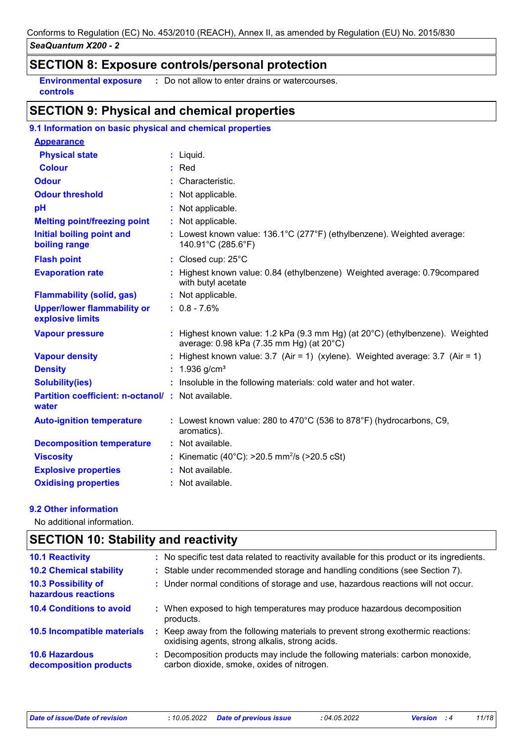### **SECTION 8: Exposure controls/personal protection**

**Environmental exposure :** Do not allow to enter drains or watercourses. **controls**

### **SECTION 9: Physical and chemical properties**

| 9.1 Information on basic physical and chemical properties  |                                                                                                                                     |
|------------------------------------------------------------|-------------------------------------------------------------------------------------------------------------------------------------|
| <b>Appearance</b>                                          |                                                                                                                                     |
| <b>Physical state</b>                                      | $:$ Liquid.                                                                                                                         |
| <b>Colour</b>                                              | $:$ Red                                                                                                                             |
| <b>Odour</b>                                               | : Characteristic.                                                                                                                   |
| <b>Odour threshold</b>                                     | : Not applicable.                                                                                                                   |
| pH                                                         | : Not applicable.                                                                                                                   |
| <b>Melting point/freezing point</b>                        | : Not applicable.                                                                                                                   |
| <b>Initial boiling point and</b><br>boiling range          | : Lowest known value: 136.1°C (277°F) (ethylbenzene). Weighted average:<br>140.91°C (285.6°F)                                       |
| <b>Flash point</b>                                         | : Closed cup: 25°C                                                                                                                  |
| <b>Evaporation rate</b>                                    | : Highest known value: 0.84 (ethylbenzene) Weighted average: 0.79 compared<br>with butyl acetate                                    |
| <b>Flammability (solid, gas)</b>                           | : Not applicable.                                                                                                                   |
| <b>Upper/lower flammability or</b><br>explosive limits     | $: 0.8 - 7.6%$                                                                                                                      |
| <b>Vapour pressure</b>                                     | : Highest known value: 1.2 kPa (9.3 mm Hg) (at $20^{\circ}$ C) (ethylbenzene). Weighted<br>average: 0.98 kPa (7.35 mm Hg) (at 20°C) |
| <b>Vapour density</b>                                      | : Highest known value: 3.7 (Air = 1) (xylene). Weighted average: 3.7 (Air = 1)                                                      |
| <b>Density</b>                                             | : $1.936$ g/cm <sup>3</sup>                                                                                                         |
| <b>Solubility(ies)</b>                                     | : Insoluble in the following materials: cold water and hot water.                                                                   |
| Partition coefficient: n-octanol/: Not available.<br>water |                                                                                                                                     |
| <b>Auto-ignition temperature</b>                           | : Lowest known value: 280 to 470°C (536 to 878°F) (hydrocarbons, C9,<br>aromatics).                                                 |
| <b>Decomposition temperature</b>                           | : Not available.                                                                                                                    |
| <b>Viscosity</b>                                           | : Kinematic (40°C): >20.5 mm <sup>2</sup> /s (>20.5 cSt)                                                                            |
| <b>Explosive properties</b>                                | : Not available.                                                                                                                    |
| <b>Oxidising properties</b>                                | : Not available.                                                                                                                    |

#### **9.2 Other information**

No additional information.

#### **SECTION 10: Stability and reactivity** : Keep away from the following materials to prevent strong exothermic reactions: oxidising agents, strong alkalis, strong acids. **10.6 Hazardous decomposition products 10.4 Conditions to avoid**  $\qquad$ **:** When exposed to high temperatures may produce hazardous decomposition products. **10.2 Chemical stability :** Stable under recommended storage and handling conditions (see Section 7). **:** Decomposition products may include the following materials: carbon monoxide, **10.5 Incompatible materials : 10.3 Possibility of hazardous reactions :** Under normal conditions of storage and use, hazardous reactions will not occur. **10.1 Reactivity :** No specific test data related to reactivity available for this product or its ingredients. carbon dioxide, smoke, oxides of nitrogen.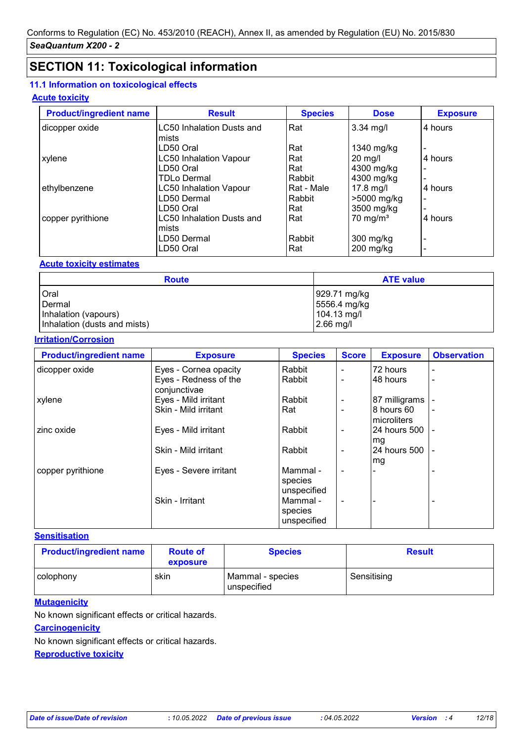# **SECTION 11: Toxicological information**

#### **11.1 Information on toxicological effects**

#### **Acute toxicity**

| <b>Product/ingredient name</b> | <b>Result</b>                    | <b>Species</b> | <b>Dose</b>         | <b>Exposure</b> |
|--------------------------------|----------------------------------|----------------|---------------------|-----------------|
| dicopper oxide                 | <b>LC50 Inhalation Dusts and</b> | Rat            | $3.34$ mg/l         | 4 hours         |
|                                | Imists                           |                |                     |                 |
|                                | LD50 Oral                        | Rat            | 1340 mg/kg          |                 |
| xylene                         | <b>LC50 Inhalation Vapour</b>    | Rat            | $20$ mg/l           | 4 hours         |
|                                | LD50 Oral                        | Rat            | 4300 mg/kg          |                 |
|                                | <b>TDLo Dermal</b>               | Rabbit         | 4300 mg/kg          | $\blacksquare$  |
| ethylbenzene                   | <b>LC50 Inhalation Vapour</b>    | Rat - Male     | $17.8$ mg/l         | 4 hours         |
|                                | LD50 Dermal                      | Rabbit         | >5000 mg/kg         | $\,$ $\,$       |
|                                | LD50 Oral                        | Rat            | 3500 mg/kg          |                 |
| copper pyrithione              | <b>LC50 Inhalation Dusts and</b> | Rat            | $70 \text{ mg/m}^3$ | 4 hours         |
|                                | Imists                           |                |                     |                 |
|                                | LD50 Dermal                      | Rabbit         | 300 mg/kg           |                 |
|                                | LD50 Oral                        | Rat            | $200$ mg/kg         |                 |

#### **Acute toxicity estimates**

| <b>Route</b>                 | <b>ATE value</b> |
|------------------------------|------------------|
| <b>Oral</b>                  | 929.71 mg/kg     |
| Dermal                       | 5556.4 mg/kg     |
| Inhalation (vapours)         | 104.13 mg/l      |
| Inhalation (dusts and mists) | $2.66$ mg/l      |

#### **Irritation/Corrosion**

| <b>Product/ingredient name</b> | <b>Exposure</b>                       | <b>Species</b>                     | <b>Score</b>   | <b>Exposure</b>           | <b>Observation</b> |
|--------------------------------|---------------------------------------|------------------------------------|----------------|---------------------------|--------------------|
| dicopper oxide                 | Eyes - Cornea opacity                 | Rabbit                             |                | 72 hours                  |                    |
|                                | Eyes - Redness of the<br>conjunctivae | Rabbit                             |                | 48 hours                  |                    |
| xylene                         | Eyes - Mild irritant                  | Rabbit                             |                | 87 milligrams             |                    |
|                                | Skin - Mild irritant                  | Rat                                |                | 8 hours 60<br>microliters |                    |
| zinc oxide                     | Eyes - Mild irritant                  | Rabbit                             | $\blacksquare$ | I24 hours 500<br>mg       | $\blacksquare$     |
|                                | Skin - Mild irritant                  | Rabbit                             | $\blacksquare$ | 24 hours 500<br>mg        |                    |
| copper pyrithione              | Eyes - Severe irritant                | Mammal -<br>species<br>unspecified | $\blacksquare$ |                           |                    |
|                                | Skin - Irritant                       | Mammal -<br>species<br>unspecified | $\blacksquare$ |                           |                    |

#### **Sensitisation**

| <b>Product/ingredient name</b> | <b>Route of</b><br>exposure | <b>Species</b>                  | <b>Result</b> |
|--------------------------------|-----------------------------|---------------------------------|---------------|
| colophony                      | skin                        | Mammal - species<br>unspecified | Sensitising   |

#### **Mutagenicity**

No known significant effects or critical hazards.

### **Carcinogenicity**

No known significant effects or critical hazards.

**Reproductive toxicity**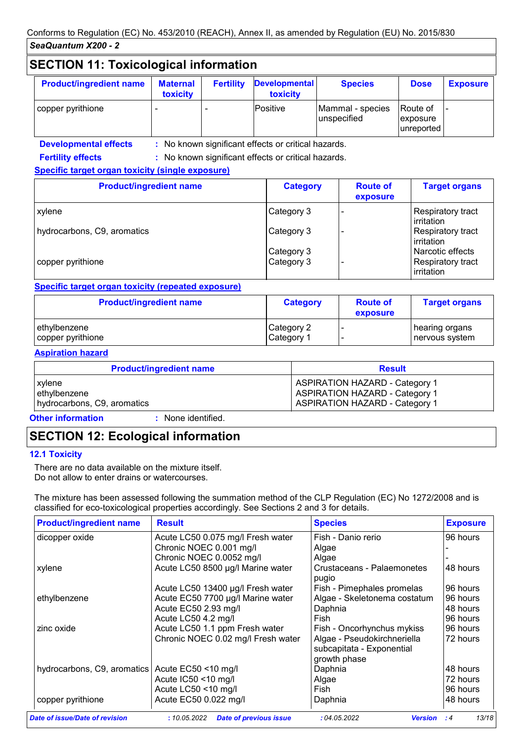# **SECTION 11: Toxicological information**

| <b>Product/ingredient name</b> | <b>Maternal</b><br>toxicity | <b>Fertility</b> | <b>Developmental</b><br>toxicity | <b>Species</b>                  | <b>Dose</b>                          | <b>Exposure</b> |
|--------------------------------|-----------------------------|------------------|----------------------------------|---------------------------------|--------------------------------------|-----------------|
| copper pyrithione              |                             |                  | Positive                         | Mammal - species<br>unspecified | lRoute of<br>exposure<br>lunreported |                 |

**Developmental effects :** : No known significant effects or critical hazards.

: No known significant effects or critical hazards.

#### **Specific target organ toxicity (single exposure)**

| <b>Product/ingredient name</b> | <b>Category</b> | <b>Route of</b><br>exposure | <b>Target organs</b>            |
|--------------------------------|-----------------|-----------------------------|---------------------------------|
| xylene                         | Category 3      |                             | Respiratory tract<br>irritation |
| hydrocarbons, C9, aromatics    | Category 3      |                             | Respiratory tract<br>irritation |
|                                | Category 3      |                             | Narcotic effects                |
| copper pyrithione              | Category 3      |                             | Respiratory tract<br>irritation |

#### **Specific target organ toxicity (repeated exposure)**

| <b>Product/ingredient name</b> | <b>Category</b> | <b>Route of</b><br>exposure | <b>Target organs</b> |
|--------------------------------|-----------------|-----------------------------|----------------------|
| ethylbenzene                   | Category 2      |                             | hearing organs       |
| copper pyrithione              | Category 1      |                             | nervous system       |

#### **Aspiration hazard**

**Fertility effects :**

| <b>Product/ingredient name</b> | <b>Result</b>                         |
|--------------------------------|---------------------------------------|
| xylene                         | <b>ASPIRATION HAZARD - Category 1</b> |
| ethylbenzene                   | <b>ASPIRATION HAZARD - Category 1</b> |
| hydrocarbons, C9, aromatics    | <b>ASPIRATION HAZARD - Category 1</b> |

#### **Other information :**

: None identified.

# **SECTION 12: Ecological information**

#### **12.1 Toxicity**

There are no data available on the mixture itself. Do not allow to enter drains or watercourses.

The mixture has been assessed following the summation method of the CLP Regulation (EC) No 1272/2008 and is classified for eco-toxicological properties accordingly. See Sections 2 and 3 for details.

| <b>Product/ingredient name</b>                    | <b>Result</b>                      | <b>Species</b>                                                           | <b>Exposure</b> |
|---------------------------------------------------|------------------------------------|--------------------------------------------------------------------------|-----------------|
| dicopper oxide                                    | Acute LC50 0.075 mg/l Fresh water  | Fish - Danio rerio                                                       | 96 hours        |
|                                                   | Chronic NOEC 0.001 mg/l            | Algae                                                                    |                 |
|                                                   | Chronic NOEC 0.0052 mg/l           | Algae                                                                    |                 |
| xylene                                            | Acute LC50 8500 µg/l Marine water  | Crustaceans - Palaemonetes<br>pugio                                      | 48 hours        |
|                                                   | Acute LC50 13400 µg/l Fresh water  | Fish - Pimephales promelas                                               | 96 hours        |
| ethylbenzene                                      | Acute EC50 7700 µg/l Marine water  | Algae - Skeletonema costatum                                             | 96 hours        |
|                                                   | Acute EC50 2.93 mg/l               | Daphnia                                                                  | 48 hours        |
|                                                   | Acute LC50 4.2 mg/l                | Fish                                                                     | 96 hours        |
| zinc oxide                                        | Acute LC50 1.1 ppm Fresh water     | Fish - Oncorhynchus mykiss                                               | 96 hours        |
|                                                   | Chronic NOEC 0.02 mg/l Fresh water | Algae - Pseudokirchneriella<br>subcapitata - Exponential<br>growth phase | 72 hours        |
| hydrocarbons, C9, aromatics   Acute EC50 <10 mg/l |                                    | Daphnia                                                                  | 48 hours        |
|                                                   | Acute IC50 <10 mg/l                | Algae                                                                    | 72 hours        |
|                                                   | Acute LC50 <10 mg/l                | Fish                                                                     | 96 hours        |
| copper pyrithione                                 | Acute EC50 0.022 mg/l              | Daphnia                                                                  | 48 hours        |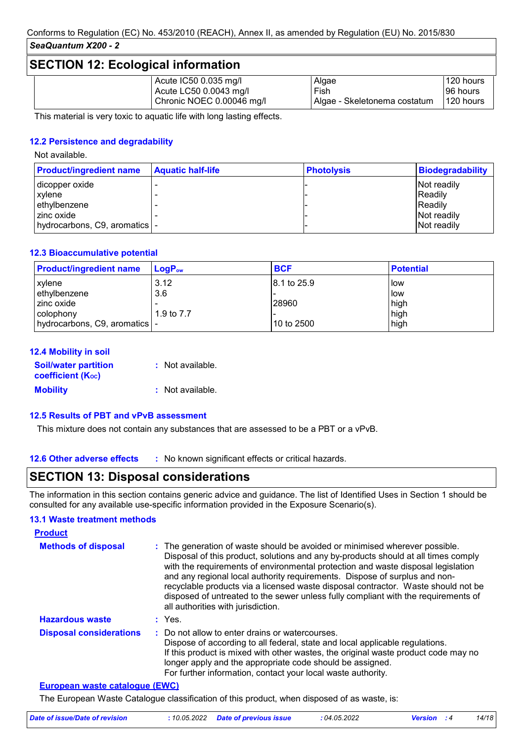### **SECTION 12: Ecological information**

|  | Acute IC50 0.035 mg/l     | Algae                          | 120 hours |
|--|---------------------------|--------------------------------|-----------|
|  | Acute LC50 0.0043 mg/l    | Fish                           | I96 hours |
|  | Chronic NOEC 0.00046 mg/l | l Algae - Skeletonema costatum | 120 hours |

This material is very toxic to aquatic life with long lasting effects.

#### **12.2 Persistence and degradability**

Not available.

| <b>Product/ingredient name</b> | <b>Aquatic half-life</b> | <b>Photolysis</b> | <b>Biodegradability</b> |
|--------------------------------|--------------------------|-------------------|-------------------------|
| dicopper oxide                 |                          |                   | Not readily             |
| <b>xylene</b>                  |                          |                   | IReadilv                |
| ethylbenzene                   |                          |                   | IReadilv                |
| I zinc oxide                   |                          |                   | Not readily             |
| hydrocarbons, C9, aromatics  - |                          |                   | Not readily             |

#### **12.3 Bioaccumulative potential**

| <b>Product/ingredient name</b> | $LoaPow$   | <b>BCF</b>              | <b>Potential</b> |
|--------------------------------|------------|-------------------------|------------------|
| <b>xylene</b>                  | 3.12       | $ 8.1 \text{ to } 25.9$ | low              |
| ethylbenzene                   | 3.6        |                         | low              |
| zinc oxide                     |            | 28960                   | high             |
| colophony                      | 1.9 to 7.7 |                         | high             |
| hydrocarbons, C9, aromatics  - |            | 10 to 2500              | high             |

| 12.4 Mobility in soil                                   |                  |
|---------------------------------------------------------|------------------|
| <b>Soil/water partition</b><br><b>coefficient (Koc)</b> | : Not available. |
| <b>Mobility</b>                                         | : Not available. |

#### **12.5 Results of PBT and vPvB assessment**

This mixture does not contain any substances that are assessed to be a PBT or a vPvB.

**12.6 Other adverse effects** : No known significant effects or critical hazards.

### **SECTION 13: Disposal considerations**

The information in this section contains generic advice and guidance. The list of Identified Uses in Section 1 should be consulted for any available use-specific information provided in the Exposure Scenario(s).

#### **13.1 Waste treatment methods**

| <b>Product</b>                 |                                                                                                                                                                                                                                                                                                                                                                                                                                                                                                                                                      |
|--------------------------------|------------------------------------------------------------------------------------------------------------------------------------------------------------------------------------------------------------------------------------------------------------------------------------------------------------------------------------------------------------------------------------------------------------------------------------------------------------------------------------------------------------------------------------------------------|
| <b>Methods of disposal</b>     | : The generation of waste should be avoided or minimised wherever possible.<br>Disposal of this product, solutions and any by-products should at all times comply<br>with the requirements of environmental protection and waste disposal legislation<br>and any regional local authority requirements. Dispose of surplus and non-<br>recyclable products via a licensed waste disposal contractor. Waste should not be<br>disposed of untreated to the sewer unless fully compliant with the requirements of<br>all authorities with jurisdiction. |
| <b>Hazardous waste</b>         | : Yes.                                                                                                                                                                                                                                                                                                                                                                                                                                                                                                                                               |
| <b>Disposal considerations</b> | Do not allow to enter drains or watercourses.<br>Dispose of according to all federal, state and local applicable regulations.<br>If this product is mixed with other wastes, the original waste product code may no<br>longer apply and the appropriate code should be assigned.<br>For further information, contact your local waste authority.                                                                                                                                                                                                     |

#### **European waste catalogue (EWC)**

The European Waste Catalogue classification of this product, when disposed of as waste, is:

| Date of issue/Date of revision | : 10.05.2022 Date of previous issue | :04.05.2022 | <b>Version</b> : 4 | 14/18 |
|--------------------------------|-------------------------------------|-------------|--------------------|-------|
|                                |                                     |             |                    |       |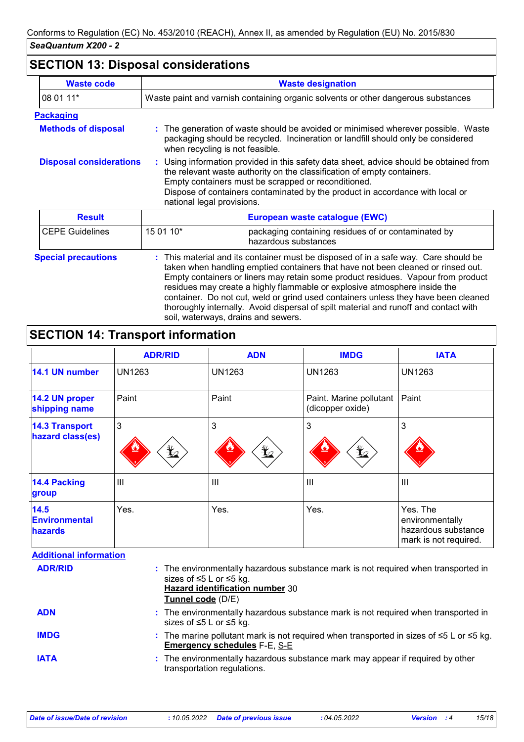# **SECTION 13: Disposal considerations**

| <b>Waste code</b>              | <b>Waste designation</b>                                                                                                                                                                                                                                                                                                                                                                                                                                                                                             |  |
|--------------------------------|----------------------------------------------------------------------------------------------------------------------------------------------------------------------------------------------------------------------------------------------------------------------------------------------------------------------------------------------------------------------------------------------------------------------------------------------------------------------------------------------------------------------|--|
| 08 01 11*                      | Waste paint and varnish containing organic solvents or other dangerous substances                                                                                                                                                                                                                                                                                                                                                                                                                                    |  |
| <b>Packaging</b>               |                                                                                                                                                                                                                                                                                                                                                                                                                                                                                                                      |  |
| <b>Methods of disposal</b>     | : The generation of waste should be avoided or minimised wherever possible. Waste<br>packaging should be recycled. Incineration or landfill should only be considered<br>when recycling is not feasible.                                                                                                                                                                                                                                                                                                             |  |
| <b>Disposal considerations</b> | : Using information provided in this safety data sheet, advice should be obtained from<br>the relevant waste authority on the classification of empty containers.<br>Empty containers must be scrapped or reconditioned.<br>Dispose of containers contaminated by the product in accordance with local or<br>national legal provisions.                                                                                                                                                                              |  |
| <b>Result</b>                  | European waste catalogue (EWC)                                                                                                                                                                                                                                                                                                                                                                                                                                                                                       |  |
| <b>CEPE Guidelines</b>         | 15 01 10*<br>packaging containing residues of or contaminated by<br>hazardous substances                                                                                                                                                                                                                                                                                                                                                                                                                             |  |
| <b>Special precautions</b>     | This material and its container must be disposed of in a safe way. Care should be<br>taken when handling emptied containers that have not been cleaned or rinsed out.<br>Empty containers or liners may retain some product residues. Vapour from product<br>residues may create a highly flammable or explosive atmosphere inside the<br>container. Do not cut, weld or grind used containers unless they have been cleaned<br>thoroughly internally. Avoid dispersal of spilt material and runoff and contact with |  |

# **SECTION 14: Transport information**

|                                                | <b>ADR/RID</b>  | <b>ADN</b>      | <b>IMDG</b>                                 | <b>IATA</b>                                                                 |
|------------------------------------------------|-----------------|-----------------|---------------------------------------------|-----------------------------------------------------------------------------|
| 14.1 UN number                                 | <b>UN1263</b>   | <b>UN1263</b>   | <b>UN1263</b>                               | <b>UN1263</b>                                                               |
| 14.2 UN proper<br>shipping name                | Paint           | Paint           | Paint. Marine pollutant<br>(dicopper oxide) | Paint                                                                       |
| <b>14.3 Transport</b><br>hazard class(es)      | 3<br>$\bigstar$ | 3<br>$\bigstar$ | 3<br>$\bigstar$                             | 3                                                                           |
| <b>14.4 Packing</b><br>group                   | $\mathbf{III}$  | III             | $\mathbf{III}$                              | $\mathbf{III}$                                                              |
| 14.5<br><b>Environmental</b><br><b>hazards</b> | Yes.            | Yes.            | Yes.                                        | Yes. The<br>environmentally<br>hazardous substance<br>mark is not required. |

soil, waterways, drains and sewers.

| <b>Additional information</b> |                                                                                                                                                                                          |
|-------------------------------|------------------------------------------------------------------------------------------------------------------------------------------------------------------------------------------|
| <b>ADR/RID</b>                | : The environmentally hazardous substance mark is not required when transported in<br>sizes of $\leq 5$ L or $\leq 5$ kg.<br><b>Hazard identification number 30</b><br>Tunnel code (D/E) |
| <b>ADN</b>                    | : The environmentally hazardous substance mark is not required when transported in<br>sizes of $\leq 5$ L or $\leq 5$ kg.                                                                |
| <b>IMDG</b>                   | : The marine pollutant mark is not required when transported in sizes of $\leq 5$ L or $\leq 5$ kg.<br><b>Emergency schedules F-E, S-E</b>                                               |
| <b>IATA</b>                   | : The environmentally hazardous substance mark may appear if required by other<br>transportation regulations.                                                                            |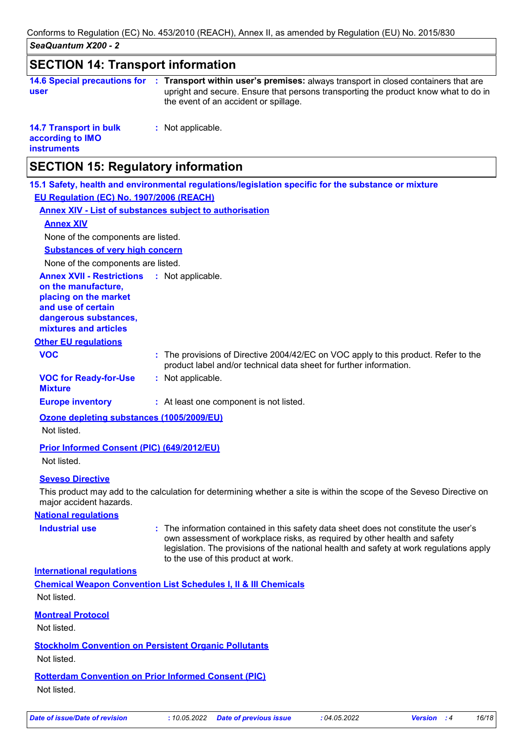| วษ <sub>ี</sub> สนขนสมเนมม AZUU - Z                                                                                  |                                                                                                                                                                                                                                                                                                     |
|----------------------------------------------------------------------------------------------------------------------|-----------------------------------------------------------------------------------------------------------------------------------------------------------------------------------------------------------------------------------------------------------------------------------------------------|
| <b>SECTION 14: Transport information</b>                                                                             |                                                                                                                                                                                                                                                                                                     |
| user                                                                                                                 | 14.6 Special precautions for : Transport within user's premises: always transport in closed containers that are<br>upright and secure. Ensure that persons transporting the product know what to do in<br>the event of an accident or spillage.                                                     |
| <b>14.7 Transport in bulk</b><br>according to IMO<br><b>instruments</b>                                              | : Not applicable.                                                                                                                                                                                                                                                                                   |
| <b>SECTION 15: Regulatory information</b>                                                                            |                                                                                                                                                                                                                                                                                                     |
|                                                                                                                      | 15.1 Safety, health and environmental regulations/legislation specific for the substance or mixture                                                                                                                                                                                                 |
| EU Requlation (EC) No. 1907/2006 (REACH)                                                                             |                                                                                                                                                                                                                                                                                                     |
|                                                                                                                      | <b>Annex XIV - List of substances subject to authorisation</b>                                                                                                                                                                                                                                      |
| <b>Annex XIV</b>                                                                                                     |                                                                                                                                                                                                                                                                                                     |
| None of the components are listed.                                                                                   |                                                                                                                                                                                                                                                                                                     |
| <b>Substances of very high concern</b>                                                                               |                                                                                                                                                                                                                                                                                                     |
| None of the components are listed.                                                                                   |                                                                                                                                                                                                                                                                                                     |
| <b>Annex XVII - Restrictions</b>                                                                                     | : Not applicable.                                                                                                                                                                                                                                                                                   |
| on the manufacture,<br>placing on the market<br>and use of certain<br>dangerous substances,<br>mixtures and articles |                                                                                                                                                                                                                                                                                                     |
| <b>Other EU regulations</b>                                                                                          |                                                                                                                                                                                                                                                                                                     |
| <b>VOC</b>                                                                                                           | : The provisions of Directive 2004/42/EC on VOC apply to this product. Refer to the<br>product label and/or technical data sheet for further information.                                                                                                                                           |
| <b>VOC for Ready-for-Use</b><br><b>Mixture</b>                                                                       | : Not applicable.                                                                                                                                                                                                                                                                                   |
| <b>Europe inventory</b>                                                                                              | : At least one component is not listed.                                                                                                                                                                                                                                                             |
| Ozone depleting substances (1005/2009/EU)                                                                            |                                                                                                                                                                                                                                                                                                     |
| Not listed.                                                                                                          |                                                                                                                                                                                                                                                                                                     |
| Prior Informed Consent (PIC) (649/2012/EU)                                                                           |                                                                                                                                                                                                                                                                                                     |
| Not listed.                                                                                                          |                                                                                                                                                                                                                                                                                                     |
| <b>Seveso Directive</b>                                                                                              |                                                                                                                                                                                                                                                                                                     |
| major accident hazards.                                                                                              | This product may add to the calculation for determining whether a site is within the scope of the Seveso Directive on                                                                                                                                                                               |
| <b>National regulations</b>                                                                                          |                                                                                                                                                                                                                                                                                                     |
| <b>Industrial use</b>                                                                                                | : The information contained in this safety data sheet does not constitute the user's<br>own assessment of workplace risks, as required by other health and safety<br>legislation. The provisions of the national health and safety at work regulations apply<br>to the use of this product at work. |
| <b>International regulations</b>                                                                                     |                                                                                                                                                                                                                                                                                                     |
|                                                                                                                      | <b>Chemical Weapon Convention List Schedules I, II &amp; III Chemicals</b>                                                                                                                                                                                                                          |
| Not listed.                                                                                                          |                                                                                                                                                                                                                                                                                                     |
| <b>Montreal Protocol</b>                                                                                             |                                                                                                                                                                                                                                                                                                     |
| Not listed.                                                                                                          |                                                                                                                                                                                                                                                                                                     |
|                                                                                                                      |                                                                                                                                                                                                                                                                                                     |

**Stockholm Convention on Persistent Organic Pollutants**

Not listed.

**Rotterdam Convention on Prior Informed Consent (PIC)**

Not listed.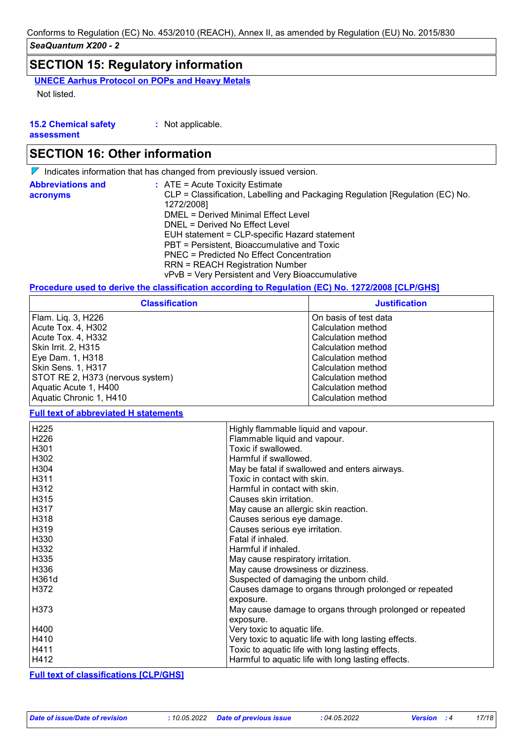### **SECTION 15: Regulatory information**

**UNECE Aarhus Protocol on POPs and Heavy Metals** Not listed.

**15.2 Chemical safety :** Not applicable.

**assessment**

### **SECTION 16: Other information**

 $\nabla$  Indicates information that has changed from previously issued version.

| <b>Abbreviations and</b> | $\therefore$ ATE = Acute Toxicity Estimate                                    |
|--------------------------|-------------------------------------------------------------------------------|
| acronyms                 | CLP = Classification, Labelling and Packaging Regulation [Regulation (EC) No. |
|                          | 1272/2008]                                                                    |
|                          | DMEL = Derived Minimal Effect Level                                           |
|                          | DNEL = Derived No Effect Level                                                |
|                          | EUH statement = CLP-specific Hazard statement                                 |
|                          | PBT = Persistent, Bioaccumulative and Toxic                                   |
|                          | PNEC = Predicted No Effect Concentration                                      |
|                          | <b>RRN = REACH Registration Number</b>                                        |
|                          | vPvB = Very Persistent and Very Bioaccumulative                               |

#### **Procedure used to derive the classification according to Regulation (EC) No. 1272/2008 [CLP/GHS]**

| <b>Classification</b>                    | <b>Justification</b>                     |
|------------------------------------------|------------------------------------------|
| Flam. Liq. 3, H226                       | On basis of test data                    |
| Acute Tox. 4, H302<br>Acute Tox. 4, H332 | Calculation method<br>Calculation method |
| Skin Irrit. 2, H315                      | Calculation method                       |
| Eye Dam. 1, H318<br>Skin Sens. 1, H317   | Calculation method<br>Calculation method |
| STOT RE 2, H373 (nervous system)         | Calculation method                       |
| Aquatic Acute 1, H400                    | Calculation method                       |
| Aquatic Chronic 1, H410                  | Calculation method                       |

#### **Full text of abbreviated H statements**

| H <sub>225</sub> | Highly flammable liquid and vapour.                      |
|------------------|----------------------------------------------------------|
| H <sub>226</sub> | Flammable liquid and vapour.                             |
| H301             | Toxic if swallowed.                                      |
| H302             | Harmful if swallowed.                                    |
| H304             | May be fatal if swallowed and enters airways.            |
| H311             | Toxic in contact with skin.                              |
| H312             | Harmful in contact with skin.                            |
| H315             | Causes skin irritation.                                  |
| H317             | May cause an allergic skin reaction.                     |
| H318             | Causes serious eye damage.                               |
| H319             | Causes serious eye irritation.                           |
| H <sub>330</sub> | Fatal if inhaled.                                        |
| H332             | Harmful if inhaled.                                      |
| H335             | May cause respiratory irritation.                        |
| H336             | May cause drowsiness or dizziness.                       |
| H361d            | Suspected of damaging the unborn child.                  |
| H372             | Causes damage to organs through prolonged or repeated    |
|                  | exposure.                                                |
| H373             | May cause damage to organs through prolonged or repeated |
|                  | exposure.                                                |
| H400             | Very toxic to aquatic life.                              |
| H410             | Very toxic to aquatic life with long lasting effects.    |
| H411             | Toxic to aquatic life with long lasting effects.         |
| H412             | Harmful to aquatic life with long lasting effects.       |

**Full text of classifications [CLP/GHS]**